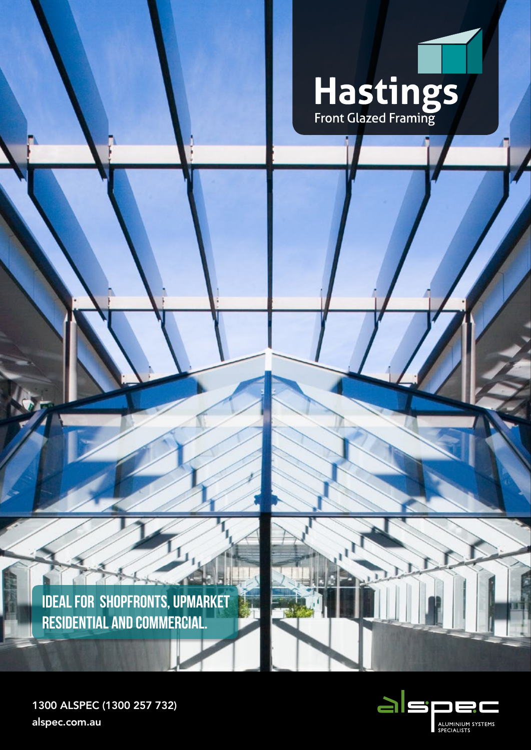

**IDEAL FOR SHOPFRONTS, UPMARKET RESIDENTIAL AND COMMERCIAL.**



1300 ALSPEC (1300 257 732) alspec.com.au